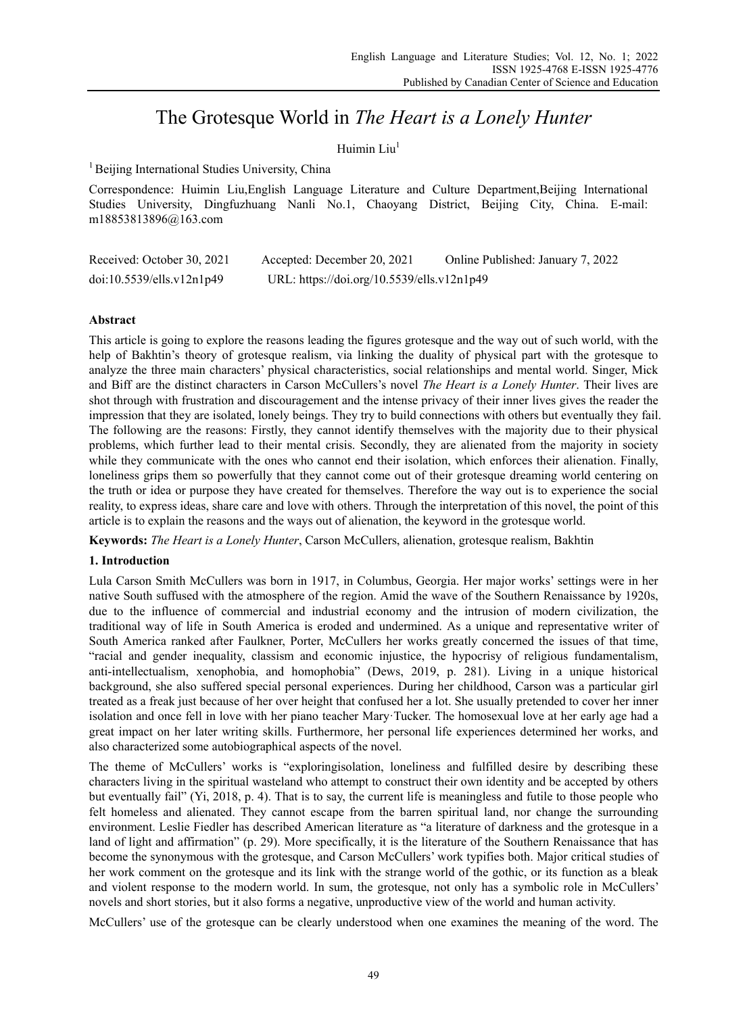# The Grotesque World in *The Heart is a Lonely Hunter*

# Huimin  $Liu<sup>1</sup>$

<sup>1</sup> Beijing International Studies University, China

Correspondence: Huimin Liu,English Language Literature and Culture Department,Beijing International Studies University, Dingfuzhuang Nanli No.1, Chaoyang District, Beijing City, China. E-mail: m18853813896@163.com

| Received: October 30, 2021 | Accepted: December 20, 2021                | Online Published: January 7, 2022 |
|----------------------------|--------------------------------------------|-----------------------------------|
| doi:10.5539/ells.v12n1p49  | URL: https://doi.org/10.5539/ells.v12n1p49 |                                   |

# **Abstract**

This article is going to explore the reasons leading the figures grotesque and the way out of such world, with the help of Bakhtin's theory of grotesque realism, via linking the duality of physical part with the grotesque to analyze the three main characters' physical characteristics, social relationships and mental world. Singer, Mick and Biff are the distinct characters in Carson McCullers's novel *The Heart is a Lonely Hunter*. Their lives are shot through with frustration and discouragement and the intense privacy of their inner lives gives the reader the impression that they are isolated, lonely beings. They try to build connections with others but eventually they fail. The following are the reasons: Firstly, they cannot identify themselves with the majority due to their physical problems, which further lead to their mental crisis. Secondly, they are alienated from the majority in society while they communicate with the ones who cannot end their isolation, which enforces their alienation. Finally, loneliness grips them so powerfully that they cannot come out of their grotesque dreaming world centering on the truth or idea or purpose they have created for themselves. Therefore the way out is to experience the social reality, to express ideas, share care and love with others. Through the interpretation of this novel, the point of this article is to explain the reasons and the ways out of alienation, the keyword in the grotesque world.

**Keywords:** *The Heart is a Lonely Hunter*, Carson McCullers, alienation, grotesque realism, Bakhtin

## **1. Introduction**

Lula Carson Smith McCullers was born in 1917, in Columbus, Georgia. Her major works' settings were in her native South suffused with the atmosphere of the region. Amid the wave of the Southern Renaissance by 1920s, due to the influence of commercial and industrial economy and the intrusion of modern civilization, the traditional way of life in South America is eroded and undermined. As a unique and representative writer of South America ranked after Faulkner, Porter, McCullers her works greatly concerned the issues of that time, "racial and gender inequality, classism and economic injustice, the hypocrisy of religious fundamentalism, anti-intellectualism, xenophobia, and homophobia" (Dews, 2019, p. 281). Living in a unique historical background, she also suffered special personal experiences. During her childhood, Carson was a particular girl treated as a freak just because of her over height that confused her a lot. She usually pretended to cover her inner isolation and once fell in love with her piano teacher Mary·Tucker. The homosexual love at her early age had a great impact on her later writing skills. Furthermore, her personal life experiences determined her works, and also characterized some autobiographical aspects of the novel.

The theme of McCullers' works is "exploringisolation, loneliness and fulfilled desire by describing these characters living in the spiritual wasteland who attempt to construct their own identity and be accepted by others but eventually fail" (Yi, 2018, p. 4). That is to say, the current life is meaningless and futile to those people who felt homeless and alienated. They cannot escape from the barren spiritual land, nor change the surrounding environment. Leslie Fiedler has described American literature as "a literature of darkness and the grotesque in a land of light and affirmation" (p. 29). More specifically, it is the literature of the Southern Renaissance that has become the synonymous with the grotesque, and Carson McCullers' work typifies both. Major critical studies of her work comment on the grotesque and its link with the strange world of the gothic, or its function as a bleak and violent response to the modern world. In sum, the grotesque, not only has a symbolic role in McCullers' novels and short stories, but it also forms a negative, unproductive view of the world and human activity.

McCullers' use of the grotesque can be clearly understood when one examines the meaning of the word. The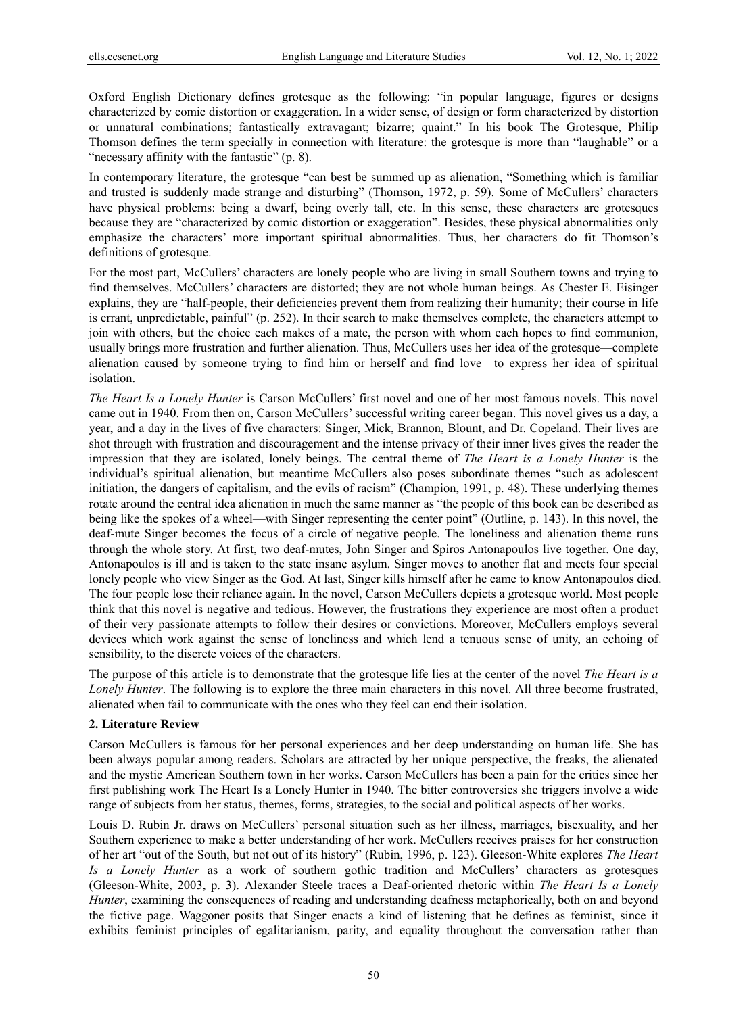Oxford English Dictionary defines grotesque as the following: "in popular language, figures or designs characterized by comic distortion or exaggeration. In a wider sense, of design or form characterized by distortion or unnatural combinations; fantastically extravagant; bizarre; quaint." In his book The Grotesque, Philip Thomson defines the term specially in connection with literature: the grotesque is more than "laughable" or a "necessary affinity with the fantastic" (p. 8).

In contemporary literature, the grotesque "can best be summed up as alienation, "Something which is familiar and trusted is suddenly made strange and disturbing" (Thomson, 1972, p. 59). Some of McCullers' characters have physical problems: being a dwarf, being overly tall, etc. In this sense, these characters are grotesques because they are "characterized by comic distortion or exaggeration". Besides, these physical abnormalities only emphasize the characters' more important spiritual abnormalities. Thus, her characters do fit Thomson's definitions of grotesque.

For the most part, McCullers' characters are lonely people who are living in small Southern towns and trying to find themselves. McCullers' characters are distorted; they are not whole human beings. As Chester E. Eisinger explains, they are "half-people, their deficiencies prevent them from realizing their humanity; their course in life is errant, unpredictable, painful" (p. 252). In their search to make themselves complete, the characters attempt to join with others, but the choice each makes of a mate, the person with whom each hopes to find communion, usually brings more frustration and further alienation. Thus, McCullers uses her idea of the grotesque—complete alienation caused by someone trying to find him or herself and find love—to express her idea of spiritual isolation.

*The Heart Is a Lonely Hunter* is Carson McCullers' first novel and one of her most famous novels. This novel came out in 1940. From then on, Carson McCullers' successful writing career began. This novel gives us a day, a year, and a day in the lives of five characters: Singer, Mick, Brannon, Blount, and Dr. Copeland. Their lives are shot through with frustration and discouragement and the intense privacy of their inner lives gives the reader the impression that they are isolated, lonely beings. The central theme of *The Heart is a Lonely Hunter* is the individual's spiritual alienation, but meantime McCullers also poses subordinate themes "such as adolescent initiation, the dangers of capitalism, and the evils of racism" (Champion, 1991, p. 48). These underlying themes rotate around the central idea alienation in much the same manner as "the people of this book can be described as being like the spokes of a wheel—with Singer representing the center point" (Outline, p. 143). In this novel, the deaf-mute Singer becomes the focus of a circle of negative people. The loneliness and alienation theme runs through the whole story. At first, two deaf-mutes, John Singer and Spiros Antonapoulos live together. One day, Antonapoulos is ill and is taken to the state insane asylum. Singer moves to another flat and meets four special lonely people who view Singer as the God. At last, Singer kills himself after he came to know Antonapoulos died. The four people lose their reliance again. In the novel, Carson McCullers depicts a grotesque world. Most people think that this novel is negative and tedious. However, the frustrations they experience are most often a product of their very passionate attempts to follow their desires or convictions. Moreover, McCullers employs several devices which work against the sense of loneliness and which lend a tenuous sense of unity, an echoing of sensibility, to the discrete voices of the characters.

The purpose of this article is to demonstrate that the grotesque life lies at the center of the novel *The Heart is a Lonely Hunter*. The following is to explore the three main characters in this novel. All three become frustrated, alienated when fail to communicate with the ones who they feel can end their isolation.

#### **2. Literature Review**

Carson McCullers is famous for her personal experiences and her deep understanding on human life. She has been always popular among readers. Scholars are attracted by her unique perspective, the freaks, the alienated and the mystic American Southern town in her works. Carson McCullers has been a pain for the critics since her first publishing work The Heart Is a Lonely Hunter in 1940. The bitter controversies she triggers involve a wide range of subjects from her status, themes, forms, strategies, to the social and political aspects of her works.

Louis D. Rubin Jr. draws on McCullers' personal situation such as her illness, marriages, bisexuality, and her Southern experience to make a better understanding of her work. McCullers receives praises for her construction of her art "out of the South, but not out of its history" (Rubin, 1996, p. 123). Gleeson-White explores *The Heart Is a Lonely Hunter* as a work of southern gothic tradition and McCullers' characters as grotesques (Gleeson-White, 2003, p. 3). Alexander Steele traces a Deaf-oriented rhetoric within *The Heart Is a Lonely Hunter*, examining the consequences of reading and understanding deafness metaphorically, both on and beyond the fictive page. Waggoner posits that Singer enacts a kind of listening that he defines as feminist, since it exhibits feminist principles of egalitarianism, parity, and equality throughout the conversation rather than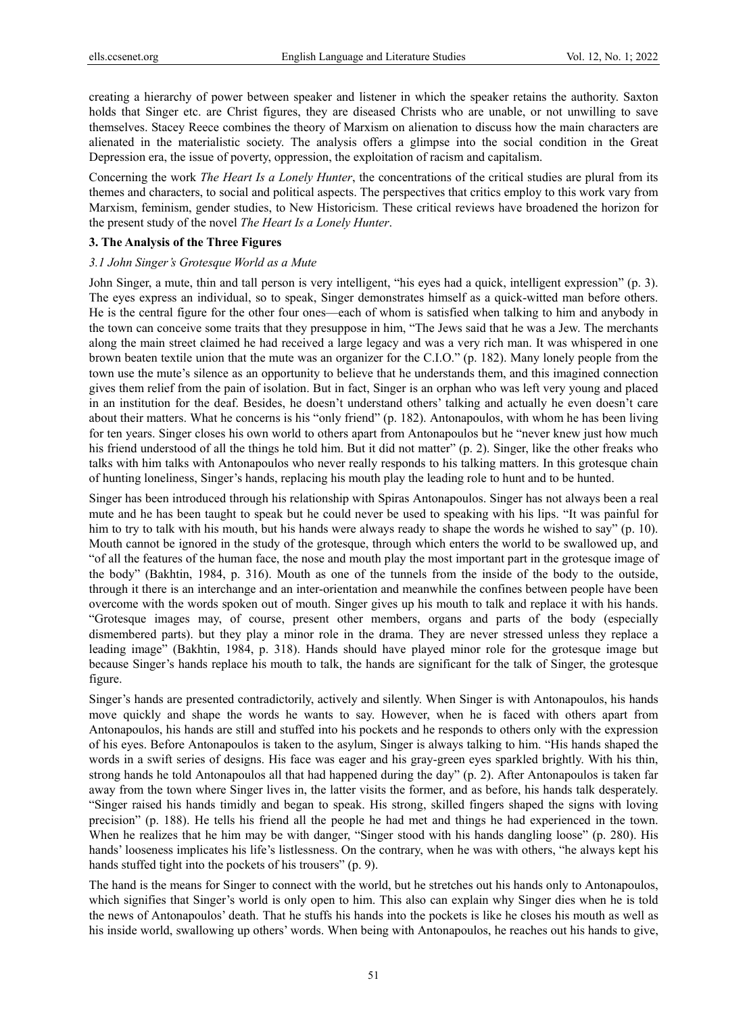creating a hierarchy of power between speaker and listener in which the speaker retains the authority. Saxton holds that Singer etc. are Christ figures, they are diseased Christs who are unable, or not unwilling to save themselves. Stacey Reece combines the theory of Marxism on alienation to discuss how the main characters are alienated in the materialistic society. The analysis offers a glimpse into the social condition in the Great Depression era, the issue of poverty, oppression, the exploitation of racism and capitalism.

Concerning the work *The Heart Is a Lonely Hunter*, the concentrations of the critical studies are plural from its themes and characters, to social and political aspects. The perspectives that critics employ to this work vary from Marxism, feminism, gender studies, to New Historicism. These critical reviews have broadened the horizon for the present study of the novel *The Heart Is a Lonely Hunter*.

## **3. The Analysis of the Three Figures**

#### *3.1 John Singer's Grotesque World as a Mute*

John Singer, a mute, thin and tall person is very intelligent, "his eyes had a quick, intelligent expression" (p. 3). The eyes express an individual, so to speak, Singer demonstrates himself as a quick-witted man before others. He is the central figure for the other four ones—each of whom is satisfied when talking to him and anybody in the town can conceive some traits that they presuppose in him, "The Jews said that he was a Jew. The merchants along the main street claimed he had received a large legacy and was a very rich man. It was whispered in one brown beaten textile union that the mute was an organizer for the C.I.O." (p. 182). Many lonely people from the town use the mute's silence as an opportunity to believe that he understands them, and this imagined connection gives them relief from the pain of isolation. But in fact, Singer is an orphan who was left very young and placed in an institution for the deaf. Besides, he doesn't understand others' talking and actually he even doesn't care about their matters. What he concerns is his "only friend" (p. 182). Antonapoulos, with whom he has been living for ten years. Singer closes his own world to others apart from Antonapoulos but he "never knew just how much his friend understood of all the things he told him. But it did not matter" (p. 2). Singer, like the other freaks who talks with him talks with Antonapoulos who never really responds to his talking matters. In this grotesque chain of hunting loneliness, Singer's hands, replacing his mouth play the leading role to hunt and to be hunted.

Singer has been introduced through his relationship with Spiras Antonapoulos. Singer has not always been a real mute and he has been taught to speak but he could never be used to speaking with his lips. "It was painful for him to try to talk with his mouth, but his hands were always ready to shape the words he wished to say" (p. 10). Mouth cannot be ignored in the study of the grotesque, through which enters the world to be swallowed up, and "of all the features of the human face, the nose and mouth play the most important part in the grotesque image of the body" (Bakhtin, 1984, p. 316). Mouth as one of the tunnels from the inside of the body to the outside, through it there is an interchange and an inter-orientation and meanwhile the confines between people have been overcome with the words spoken out of mouth. Singer gives up his mouth to talk and replace it with his hands. "Grotesque images may, of course, present other members, organs and parts of the body (especially dismembered parts). but they play a minor role in the drama. They are never stressed unless they replace a leading image" (Bakhtin, 1984, p. 318). Hands should have played minor role for the grotesque image but because Singer's hands replace his mouth to talk, the hands are significant for the talk of Singer, the grotesque figure.

Singer's hands are presented contradictorily, actively and silently. When Singer is with Antonapoulos, his hands move quickly and shape the words he wants to say. However, when he is faced with others apart from Antonapoulos, his hands are still and stuffed into his pockets and he responds to others only with the expression of his eyes. Before Antonapoulos is taken to the asylum, Singer is always talking to him. "His hands shaped the words in a swift series of designs. His face was eager and his gray-green eyes sparkled brightly. With his thin, strong hands he told Antonapoulos all that had happened during the day" (p. 2). After Antonapoulos is taken far away from the town where Singer lives in, the latter visits the former, and as before, his hands talk desperately. "Singer raised his hands timidly and began to speak. His strong, skilled fingers shaped the signs with loving precision" (p. 188). He tells his friend all the people he had met and things he had experienced in the town. When he realizes that he him may be with danger, "Singer stood with his hands dangling loose" (p. 280). His hands' looseness implicates his life's listlessness. On the contrary, when he was with others, "he always kept his hands stuffed tight into the pockets of his trousers" (p. 9).

The hand is the means for Singer to connect with the world, but he stretches out his hands only to Antonapoulos, which signifies that Singer's world is only open to him. This also can explain why Singer dies when he is told the news of Antonapoulos' death. That he stuffs his hands into the pockets is like he closes his mouth as well as his inside world, swallowing up others' words. When being with Antonapoulos, he reaches out his hands to give,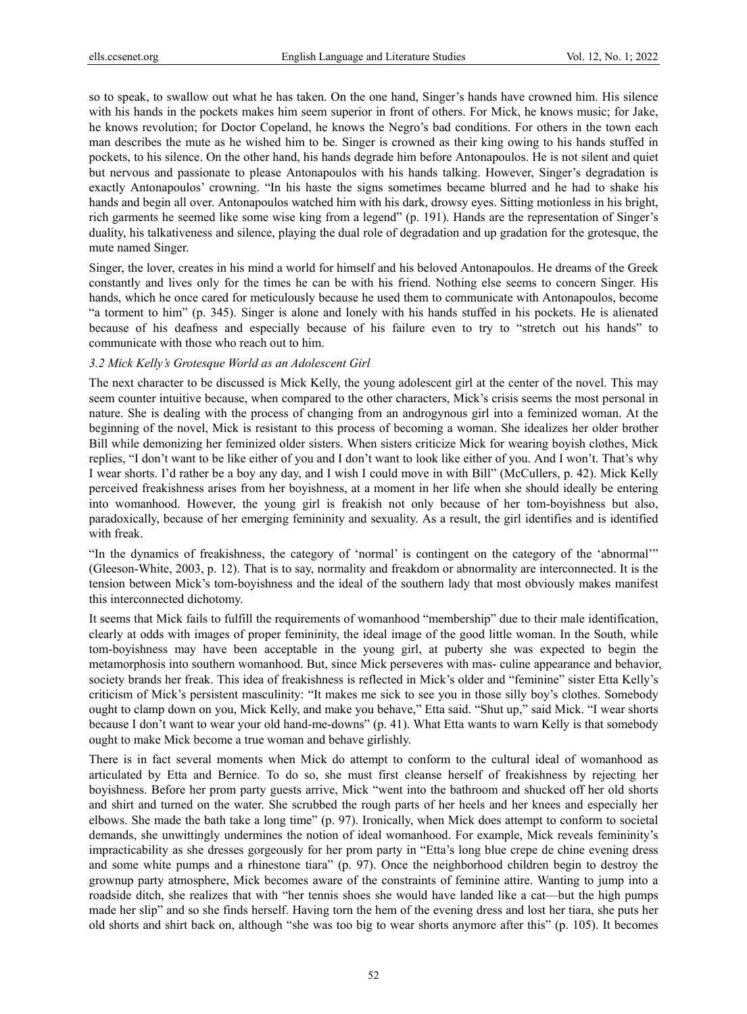so to speak, to swallow out what he has taken. On the one hand, Singer's hands have crowned him. His silence with his hands in the pockets makes him seem superior in front of others. For Mick, he knows music; for Jake, he knows revolution; for Doctor Copeland, he knows the Negro's bad conditions. For others in the town each man describes the mute as he wished him to be. Singer is crowned as their king owing to his hands stuffed in pockets, to his silence. On the other hand, his hands degrade him before Antonapoulos. He is not silent and quiet but nervous and passionate to please Antonapoulos with his hands talking. However, Singer's degradation is exactly Antonapoulos' crowning. "In his haste the signs sometimes became blurred and he had to shake his hands and begin all over. Antonapoulos watched him with his dark, drowsy eyes. Sitting motionless in his bright, rich garments he seemed like some wise king from a legend" (p. 191). Hands are the representation of Singer's duality, his talkativeness and silence, playing the dual role of degradation and up gradation for the grotesque, the mute named Singer.

Singer, the lover, creates in his mind a world for himself and his beloved Antonapoulos. He dreams of the Greek constantly and lives only for the times he can be with his friend. Nothing else seems to concern Singer. His hands, which he once cared for meticulously because he used them to communicate with Antonapoulos, become "a torment to him" (p. 345). Singer is alone and lonely with his hands stuffed in his pockets. He is alienated because of his deafness and especially because of his failure even to try to "stretch out his hands" to communicate with those who reach out to him.

#### *3.2 Mick Kelly's Grotesque World as an Adolescent Girl*

The next character to be discussed is Mick Kelly, the young adolescent girl at the center of the novel. This may seem counter intuitive because, when compared to the other characters, Mick's crisis seems the most personal in nature. She is dealing with the process of changing from an androgynous girl into a feminized woman. At the beginning of the novel, Mick is resistant to this process of becoming a woman. She idealizes her older brother Bill while demonizing her feminized older sisters. When sisters criticize Mick for wearing boyish clothes, Mick replies, "I don't want to be like either of you and I don't want to look like either of you. And I won't. That's why I wear shorts. I'd rather be a boy any day, and I wish I could move in with Bill" (McCullers, p. 42). Mick Kelly perceived freakishness arises from her boyishness, at a moment in her life when she should ideally be entering into womanhood. However, the young girl is freakish not only because of her tom-boyishness but also, paradoxically, because of her emerging femininity and sexuality. As a result, the girl identifies and is identified with freak.

"In the dynamics of freakishness, the category of 'normal' is contingent on the category of the 'abnormal'" (Gleeson-White, 2003, p. 12). That is to say, normality and freakdom or abnormality are interconnected. It is the tension between Mick's tom-boyishness and the ideal of the southern lady that most obviously makes manifest this interconnected dichotomy.

It seems that Mick fails to fulfill the requirements of womanhood "membership" due to their male identification, clearly at odds with images of proper femininity, the ideal image of the good little woman. In the South, while tom-boyishness may have been acceptable in the young girl, at puberty she was expected to begin the metamorphosis into southern womanhood. But, since Mick perseveres with mas- culine appearance and behavior, society brands her freak. This idea of freakishness is reflected in Mick's older and "feminine" sister Etta Kelly's criticism of Mick's persistent masculinity: "It makes me sick to see you in those silly boy's clothes. Somebody ought to clamp down on you, Mick Kelly, and make you behave," Etta said. "Shut up," said Mick. "I wear shorts because I don't want to wear your old hand-me-downs" (p. 41). What Etta wants to warn Kelly is that somebody ought to make Mick become a true woman and behave girlishly.

There is in fact several moments when Mick do attempt to conform to the cultural ideal of womanhood as articulated by Etta and Bernice. To do so, she must first cleanse herself of freakishness by rejecting her boyishness. Before her prom party guests arrive, Mick "went into the bathroom and shucked off her old shorts and shirt and turned on the water. She scrubbed the rough parts of her heels and her knees and especially her elbows. She made the bath take a long time" (p. 97). Ironically, when Mick does attempt to conform to societal demands, she unwittingly undermines the notion of ideal womanhood. For example, Mick reveals femininity's impracticability as she dresses gorgeously for her prom party in "Etta's long blue crepe de chine evening dress and some white pumps and a rhinestone tiara" (p. 97). Once the neighborhood children begin to destroy the grownup party atmosphere, Mick becomes aware of the constraints of feminine attire. Wanting to jump into a roadside ditch, she realizes that with "her tennis shoes she would have landed like a cat—but the high pumps made her slip" and so she finds herself. Having torn the hem of the evening dress and lost her tiara, she puts her old shorts and shirt back on, although "she was too big to wear shorts anymore after this" (p. 105). It becomes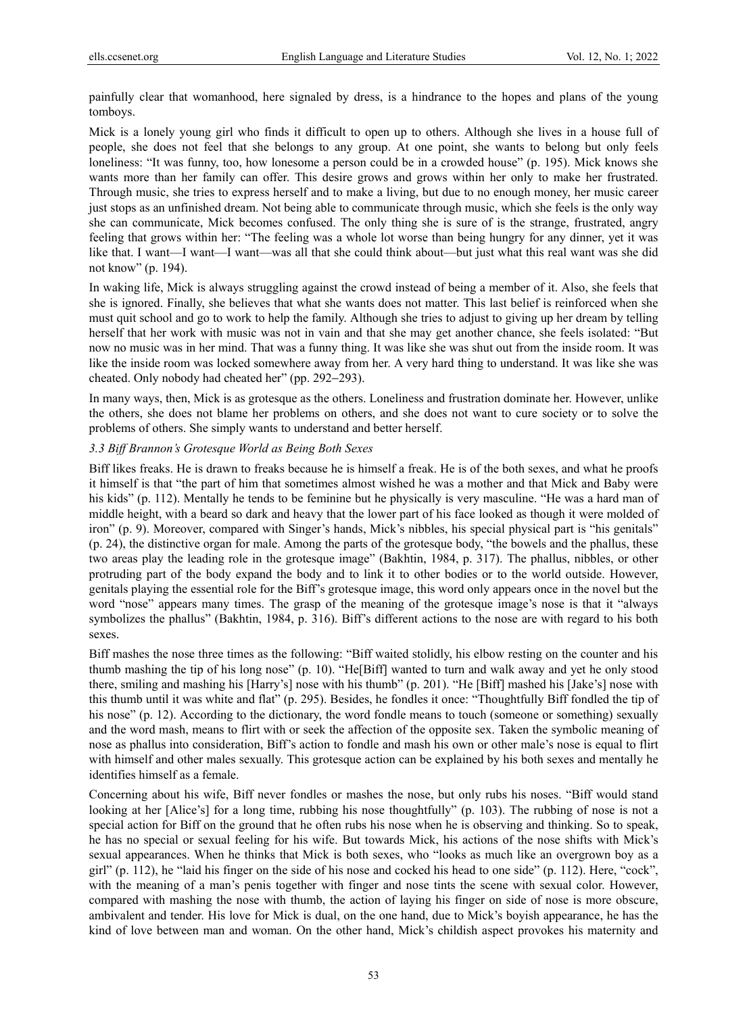painfully clear that womanhood, here signaled by dress, is a hindrance to the hopes and plans of the young tomboys.

Mick is a lonely young girl who finds it difficult to open up to others. Although she lives in a house full of people, she does not feel that she belongs to any group. At one point, she wants to belong but only feels loneliness: "It was funny, too, how lonesome a person could be in a crowded house" (p. 195). Mick knows she wants more than her family can offer. This desire grows and grows within her only to make her frustrated. Through music, she tries to express herself and to make a living, but due to no enough money, her music career just stops as an unfinished dream. Not being able to communicate through music, which she feels is the only way she can communicate, Mick becomes confused. The only thing she is sure of is the strange, frustrated, angry feeling that grows within her: "The feeling was a whole lot worse than being hungry for any dinner, yet it was like that. I want—I want—I want—was all that she could think about—but just what this real want was she did not know" (p. 194).

In waking life, Mick is always struggling against the crowd instead of being a member of it. Also, she feels that she is ignored. Finally, she believes that what she wants does not matter. This last belief is reinforced when she must quit school and go to work to help the family. Although she tries to adjust to giving up her dream by telling herself that her work with music was not in vain and that she may get another chance, she feels isolated: "But now no music was in her mind. That was a funny thing. It was like she was shut out from the inside room. It was like the inside room was locked somewhere away from her. A very hard thing to understand. It was like she was cheated. Only nobody had cheated her" (pp. 292−293).

In many ways, then, Mick is as grotesque as the others. Loneliness and frustration dominate her. However, unlike the others, she does not blame her problems on others, and she does not want to cure society or to solve the problems of others. She simply wants to understand and better herself.

#### *3.3 Biff Brannon's Grotesque World as Being Both Sexes*

Biff likes freaks. He is drawn to freaks because he is himself a freak. He is of the both sexes, and what he proofs it himself is that "the part of him that sometimes almost wished he was a mother and that Mick and Baby were his kids" (p. 112). Mentally he tends to be feminine but he physically is very masculine. "He was a hard man of middle height, with a beard so dark and heavy that the lower part of his face looked as though it were molded of iron" (p. 9). Moreover, compared with Singer's hands, Mick's nibbles, his special physical part is "his genitals" (p. 24), the distinctive organ for male. Among the parts of the grotesque body, "the bowels and the phallus, these two areas play the leading role in the grotesque image" (Bakhtin, 1984, p. 317). The phallus, nibbles, or other protruding part of the body expand the body and to link it to other bodies or to the world outside. However, genitals playing the essential role for the Biff's grotesque image, this word only appears once in the novel but the word "nose" appears many times. The grasp of the meaning of the grotesque image's nose is that it "always symbolizes the phallus" (Bakhtin, 1984, p. 316). Biff's different actions to the nose are with regard to his both sexes.

Biff mashes the nose three times as the following: "Biff waited stolidly, his elbow resting on the counter and his thumb mashing the tip of his long nose" (p. 10). "He[Biff] wanted to turn and walk away and yet he only stood there, smiling and mashing his [Harry's] nose with his thumb" (p. 201). "He [Biff] mashed his [Jake's] nose with this thumb until it was white and flat" (p. 295). Besides, he fondles it once: "Thoughtfully Biff fondled the tip of his nose" (p. 12). According to the dictionary, the word fondle means to touch (someone or something) sexually and the word mash, means to flirt with or seek the affection of the opposite sex. Taken the symbolic meaning of nose as phallus into consideration, Biff's action to fondle and mash his own or other male's nose is equal to flirt with himself and other males sexually. This grotesque action can be explained by his both sexes and mentally he identifies himself as a female.

Concerning about his wife, Biff never fondles or mashes the nose, but only rubs his noses. "Biff would stand looking at her [Alice's] for a long time, rubbing his nose thoughtfully" (p. 103). The rubbing of nose is not a special action for Biff on the ground that he often rubs his nose when he is observing and thinking. So to speak, he has no special or sexual feeling for his wife. But towards Mick, his actions of the nose shifts with Mick's sexual appearances. When he thinks that Mick is both sexes, who "looks as much like an overgrown boy as a girl" (p. 112), he "laid his finger on the side of his nose and cocked his head to one side" (p. 112). Here, "cock", with the meaning of a man's penis together with finger and nose tints the scene with sexual color. However, compared with mashing the nose with thumb, the action of laying his finger on side of nose is more obscure, ambivalent and tender. His love for Mick is dual, on the one hand, due to Mick's boyish appearance, he has the kind of love between man and woman. On the other hand, Mick's childish aspect provokes his maternity and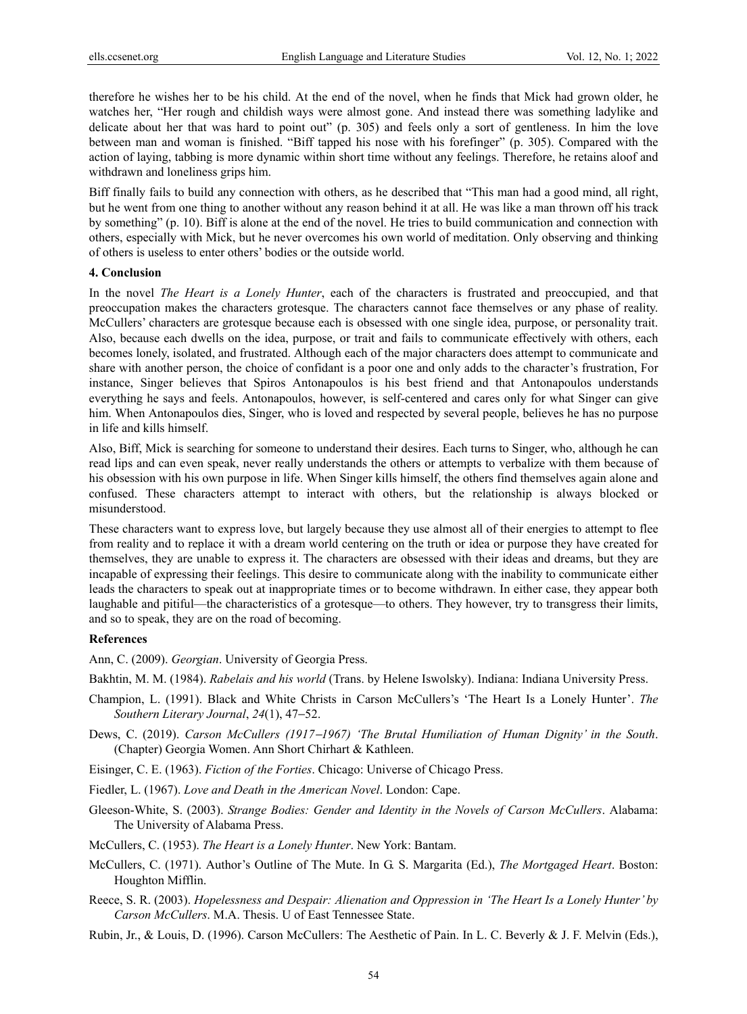therefore he wishes her to be his child. At the end of the novel, when he finds that Mick had grown older, he watches her, "Her rough and childish ways were almost gone. And instead there was something ladylike and delicate about her that was hard to point out" (p. 305) and feels only a sort of gentleness. In him the love between man and woman is finished. "Biff tapped his nose with his forefinger" (p. 305). Compared with the action of laying, tabbing is more dynamic within short time without any feelings. Therefore, he retains aloof and withdrawn and loneliness grips him.

Biff finally fails to build any connection with others, as he described that "This man had a good mind, all right, but he went from one thing to another without any reason behind it at all. He was like a man thrown off his track by something" (p. 10). Biff is alone at the end of the novel. He tries to build communication and connection with others, especially with Mick, but he never overcomes his own world of meditation. Only observing and thinking of others is useless to enter others' bodies or the outside world.

## **4. Conclusion**

In the novel *The Heart is a Lonely Hunter*, each of the characters is frustrated and preoccupied, and that preoccupation makes the characters grotesque. The characters cannot face themselves or any phase of reality. McCullers' characters are grotesque because each is obsessed with one single idea, purpose, or personality trait. Also, because each dwells on the idea, purpose, or trait and fails to communicate effectively with others, each becomes lonely, isolated, and frustrated. Although each of the major characters does attempt to communicate and share with another person, the choice of confidant is a poor one and only adds to the character's frustration, For instance, Singer believes that Spiros Antonapoulos is his best friend and that Antonapoulos understands everything he says and feels. Antonapoulos, however, is self-centered and cares only for what Singer can give him. When Antonapoulos dies, Singer, who is loved and respected by several people, believes he has no purpose in life and kills himself.

Also, Biff, Mick is searching for someone to understand their desires. Each turns to Singer, who, although he can read lips and can even speak, never really understands the others or attempts to verbalize with them because of his obsession with his own purpose in life. When Singer kills himself, the others find themselves again alone and confused. These characters attempt to interact with others, but the relationship is always blocked or misunderstood.

These characters want to express love, but largely because they use almost all of their energies to attempt to flee from reality and to replace it with a dream world centering on the truth or idea or purpose they have created for themselves, they are unable to express it. The characters are obsessed with their ideas and dreams, but they are incapable of expressing their feelings. This desire to communicate along with the inability to communicate either leads the characters to speak out at inappropriate times or to become withdrawn. In either case, they appear both laughable and pitiful—the characteristics of a grotesque—to others. They however, try to transgress their limits, and so to speak, they are on the road of becoming.

#### **References**

Ann, C. (2009). *Georgian*. University of Georgia Press.

Bakhtin, M. M. (1984). *Rabelais and his world* (Trans. by Helene Iswolsky). Indiana: Indiana University Press.

- Champion, L. (1991). Black and White Christs in Carson McCullers's 'The Heart Is a Lonely Hunter'. *The Southern Literary Journal*, *24*(1), 47−52.
- Dews, C. (2019). *Carson McCullers (1917*−*1967) 'The Brutal Humiliation of Human Dignity' in the South*. (Chapter) Georgia Women. Ann Short Chirhart & Kathleen.
- Eisinger, C. E. (1963). *Fiction of the Forties*. Chicago: Universe of Chicago Press.
- Fiedler, L. (1967). *Love and Death in the American Novel*. London: Cape.
- Gleeson-White, S. (2003). *Strange Bodies: Gender and Identity in the Novels of Carson McCullers*. Alabama: The University of Alabama Press.
- McCullers, C. (1953). *The Heart is a Lonely Hunter*. New York: Bantam.
- McCullers, C. (1971). Author's Outline of The Mute. In G. S. Margarita (Ed.), *The Mortgaged Heart*. Boston: Houghton Mifflin.
- Reece, S. R. (2003). *Hopelessness and Despair: Alienation and Oppression in 'The Heart Is a Lonely Hunter' by Carson McCullers*. M.A. Thesis. U of East Tennessee State.
- Rubin, Jr., & Louis, D. (1996). Carson McCullers: The Aesthetic of Pain. In L. C. Beverly & J. F. Melvin (Eds.),